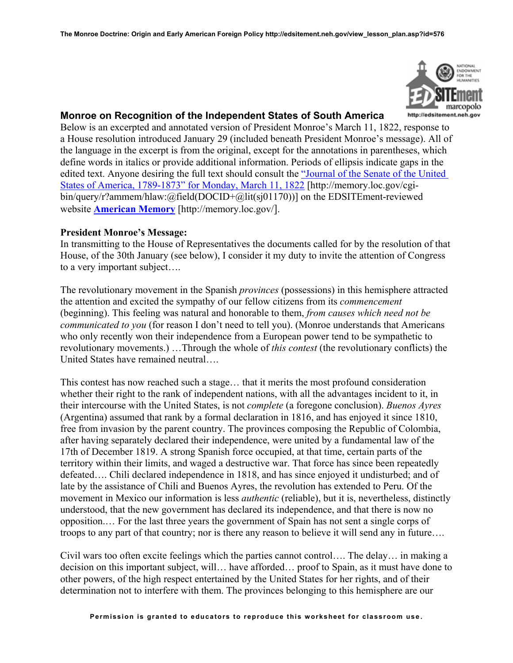

## **Monroe on Recognition of the Independent States of South America**

Below is an excerpted and annotated version of President Monroe's March 11, 1822, response to a House resolution introduced January 29 (included beneath President Monroe's message). All of the language in the excerpt is from the original, except for the annotations in parentheses, which define words in italics or provide additional information. Periods of ellipsis indicate gaps in the edited text. Anyone desiring the full text should consult the ["Journal of the Senate of the United](http://memory.loc.gov/cgi-bin/query/r?ammem/hlaw:@field(DOCID+@lit(sj01170)))  [States of America, 1789-1873" for Monday, March 11, 1822](http://memory.loc.gov/cgi-bin/query/r?ammem/hlaw:@field(DOCID+@lit(sj01170))) [http://memory.loc.gov/cgibin/query/r?ammem/hlaw:@field(DOCID+@lit(sj01170))] on the EDSITEment-reviewed website **[American Memory](http://memory.loc.gov/)** [http://memory.loc.gov/].

## **President Monroe's Message:**

In transmitting to the House of Representatives the documents called for by the resolution of that House, of the 30th January (see below), I consider it my duty to invite the attention of Congress to a very important subject….

The revolutionary movement in the Spanish *provinces* (possessions) in this hemisphere attracted the attention and excited the sympathy of our fellow citizens from its *commencement* (beginning). This feeling was natural and honorable to them, *from causes which need not be communicated to you* (for reason I don't need to tell you). (Monroe understands that Americans who only recently won their independence from a European power tend to be sympathetic to revolutionary movements.) …Through the whole of *this contest* (the revolutionary conflicts) the United States have remained neutral….

This contest has now reached such a stage… that it merits the most profound consideration whether their right to the rank of independent nations, with all the advantages incident to it, in their intercourse with the United States, is not *complete* (a foregone conclusion). *Buenos Ayres* (Argentina) assumed that rank by a formal declaration in 1816, and has enjoyed it since 1810, free from invasion by the parent country. The provinces composing the Republic of Colombia, after having separately declared their independence, were united by a fundamental law of the 17th of December 1819. A strong Spanish force occupied, at that time, certain parts of the territory within their limits, and waged a destructive war. That force has since been repeatedly defeated…. Chili declared independence in 1818, and has since enjoyed it undisturbed; and of late by the assistance of Chili and Buenos Ayres, the revolution has extended to Peru. Of the movement in Mexico our information is less *authentic* (reliable), but it is, nevertheless, distinctly understood, that the new government has declared its independence, and that there is now no opposition.… For the last three years the government of Spain has not sent a single corps of troops to any part of that country; nor is there any reason to believe it will send any in future….

Civil wars too often excite feelings which the parties cannot control…. The delay… in making a decision on this important subject, will… have afforded… proof to Spain, as it must have done to other powers, of the high respect entertained by the United States for her rights, and of their determination not to interfere with them. The provinces belonging to this hemisphere are our